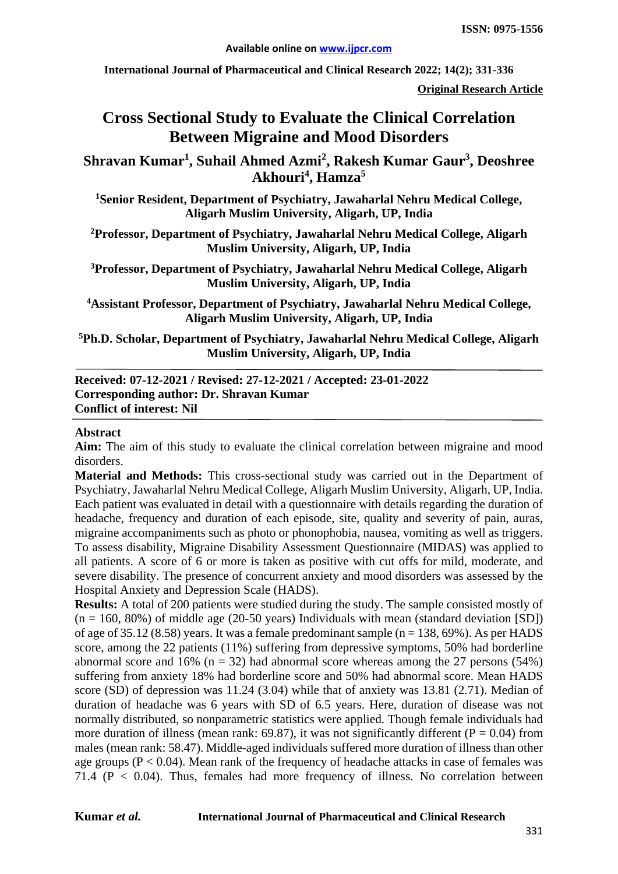**International Journal of Pharmaceutical and Clinical Research 2022; 14(2); 331-336**

**Original Research Article**

# **Cross Sectional Study to Evaluate the Clinical Correlation Between Migraine and Mood Disorders**

**Shravan Kumar1 , Suhail Ahmed Azmi<sup>2</sup> , Rakesh Kumar Gaur3 , Deoshree Akhouri<sup>4</sup> , Hamza<sup>5</sup>**

**1 Senior Resident, Department of Psychiatry, Jawaharlal Nehru Medical College, Aligarh Muslim University, Aligarh, UP, India**

**2 Professor, Department of Psychiatry, Jawaharlal Nehru Medical College, Aligarh Muslim University, Aligarh, UP, India**

**3 Professor, Department of Psychiatry, Jawaharlal Nehru Medical College, Aligarh Muslim University, Aligarh, UP, India**

**4Assistant Professor, Department of Psychiatry, Jawaharlal Nehru Medical College, Aligarh Muslim University, Aligarh, UP, India**

**5Ph.D. Scholar, Department of Psychiatry, Jawaharlal Nehru Medical College, Aligarh Muslim University, Aligarh, UP, India**

**Received: 07-12-2021 / Revised: 27-12-2021 / Accepted: 23-01-2022 Corresponding author: Dr. Shravan Kumar Conflict of interest: Nil**

#### **Abstract**

**Aim:** The aim of this study to evaluate the clinical correlation between migraine and mood disorders.

**Material and Methods:** This cross-sectional study was carried out in the Department of Psychiatry, Jawaharlal Nehru Medical College, Aligarh Muslim University, Aligarh, UP, India. Each patient was evaluated in detail with a questionnaire with details regarding the duration of headache, frequency and duration of each episode, site, quality and severity of pain, auras, migraine accompaniments such as photo or phonophobia, nausea, vomiting as well as triggers. To assess disability, Migraine Disability Assessment Questionnaire (MIDAS) was applied to all patients. A score of 6 or more is taken as positive with cut offs for mild, moderate, and severe disability. The presence of concurrent anxiety and mood disorders was assessed by the Hospital Anxiety and Depression Scale (HADS).

**Results:** A total of 200 patients were studied during the study. The sample consisted mostly of  $(n = 160, 80\%)$  of middle age (20-50 years) Individuals with mean (standard deviation [SD]) of age of 35.12 (8.58) years. It was a female predominant sample ( $n = 138, 69\%$ ). As per HADS score, among the 22 patients (11%) suffering from depressive symptoms, 50% had borderline abnormal score and 16% ( $n = 32$ ) had abnormal score whereas among the 27 persons (54%) suffering from anxiety 18% had borderline score and 50% had abnormal score. Mean HADS score (SD) of depression was 11.24 (3.04) while that of anxiety was 13.81 (2.71). Median of duration of headache was 6 years with SD of 6.5 years. Here, duration of disease was not normally distributed, so nonparametric statistics were applied. Though female individuals had more duration of illness (mean rank: 69.87), it was not significantly different ( $P = 0.04$ ) from males (mean rank: 58.47). Middle-aged individuals suffered more duration of illness than other age groups ( $P < 0.04$ ). Mean rank of the frequency of headache attacks in case of females was 71.4 (P < 0.04). Thus, females had more frequency of illness. No correlation between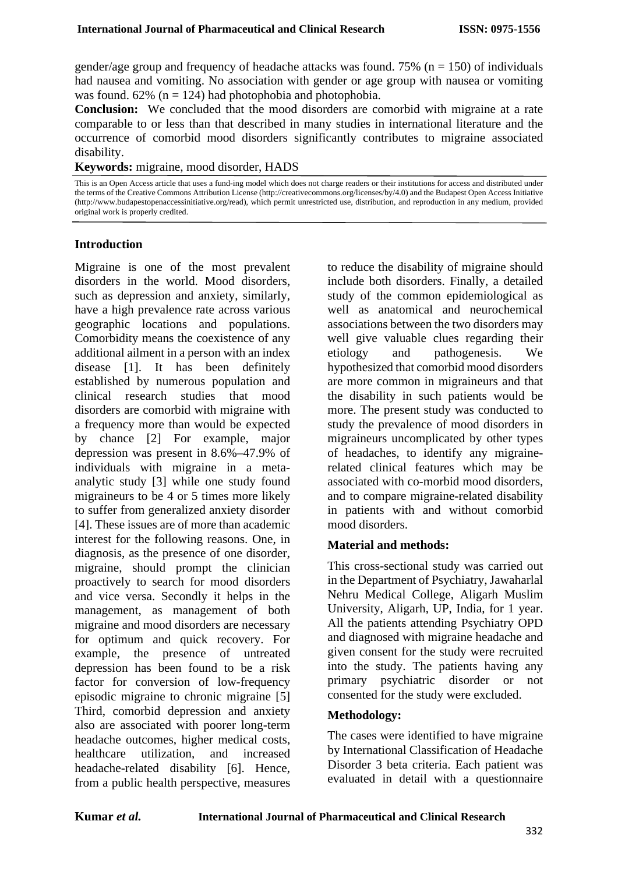gender/age group and frequency of headache attacks was found. 75% ( $n = 150$ ) of individuals had nausea and vomiting. No association with gender or age group with nausea or vomiting was found.  $62\%$  (n = 124) had photophobia and photophobia.

**Conclusion:** We concluded that the mood disorders are comorbid with migraine at a rate comparable to or less than that described in many studies in international literature and the occurrence of comorbid mood disorders significantly contributes to migraine associated disability.

**Keywords:** migraine, mood disorder, HADS

This is an Open Access article that uses a fund-ing model which does not charge readers or their institutions for access and distributed under the terms of the Creative Commons Attribution License (http://creativecommons.org/licenses/by/4.0) and the Budapest Open Access Initiative (http://www.budapestopenaccessinitiative.org/read), which permit unrestricted use, distribution, and reproduction in any medium, provided original work is properly credited.

#### **Introduction**

Migraine is one of the most prevalent disorders in the world. Mood disorders, such as depression and anxiety, similarly, have a high prevalence rate across various geographic locations and populations. Comorbidity means the coexistence of any additional ailment in a person with an index disease [1]. It has been definitely established by numerous population and clinical research studies that mood disorders are comorbid with migraine with a frequency more than would be expected by chance [2] For example, major depression was present in 8.6%–47.9% of individuals with migraine in a metaanalytic study [3] while one study found migraineurs to be 4 or 5 times more likely to suffer from generalized anxiety disorder [4]. These issues are of more than academic interest for the following reasons. One, in diagnosis, as the presence of one disorder, migraine, should prompt the clinician proactively to search for mood disorders and vice versa. Secondly it helps in the management, as management of both migraine and mood disorders are necessary for optimum and quick recovery. For example, the presence of untreated depression has been found to be a risk factor for conversion of low-frequency episodic migraine to chronic migraine [5] Third, comorbid depression and anxiety also are associated with poorer long-term headache outcomes, higher medical costs, healthcare utilization, and increased headache-related disability [6]. Hence, from a public health perspective, measures

to reduce the disability of migraine should include both disorders. Finally, a detailed study of the common epidemiological as well as anatomical and neurochemical associations between the two disorders may well give valuable clues regarding their etiology and pathogenesis. We hypothesized that comorbid mood disorders are more common in migraineurs and that the disability in such patients would be more. The present study was conducted to study the prevalence of mood disorders in migraineurs uncomplicated by other types of headaches, to identify any migrainerelated clinical features which may be associated with co-morbid mood disorders, and to compare migraine-related disability in patients with and without comorbid mood disorders.

# **Material and methods:**

This cross-sectional study was carried out in the Department of Psychiatry, Jawaharlal Nehru Medical College, Aligarh Muslim University, Aligarh, UP, India, for 1 year. All the patients attending Psychiatry OPD and diagnosed with migraine headache and given consent for the study were recruited into the study. The patients having any primary psychiatric disorder or not consented for the study were excluded.

# **Methodology:**

The cases were identified to have migraine by International Classification of Headache Disorder 3 beta criteria. Each patient was evaluated in detail with a questionnaire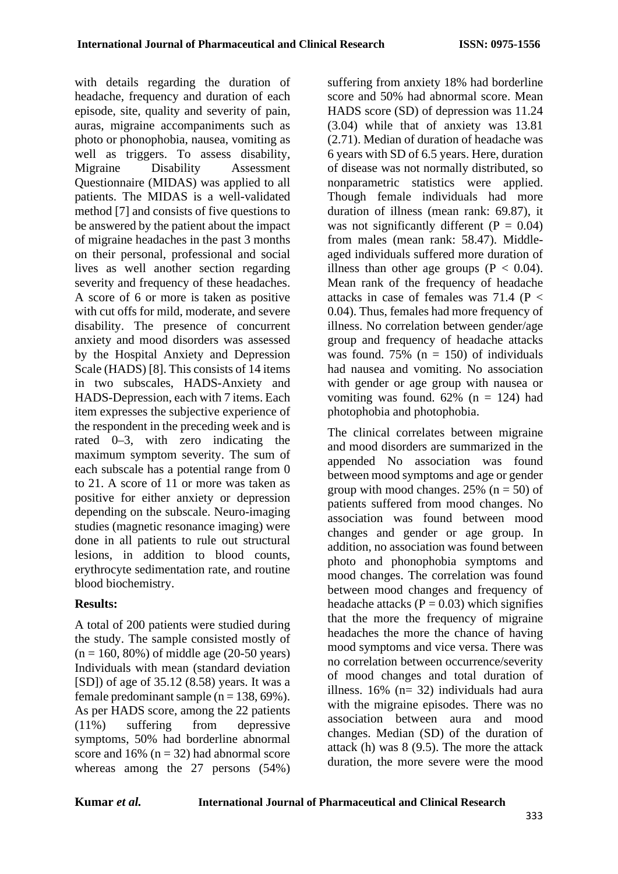with details regarding the duration of headache, frequency and duration of each episode, site, quality and severity of pain, auras, migraine accompaniments such as photo or phonophobia, nausea, vomiting as well as triggers. To assess disability, Migraine Disability Assessment Questionnaire (MIDAS) was applied to all patients. The MIDAS is a well-validated method [7] and consists of five questions to be answered by the patient about the impact of migraine headaches in the past 3 months on their personal, professional and social lives as well another section regarding severity and frequency of these headaches. A score of 6 or more is taken as positive with cut offs for mild, moderate, and severe disability. The presence of concurrent anxiety and mood disorders was assessed by the Hospital Anxiety and Depression Scale (HADS) [8]. This consists of 14 items in two subscales, HADS-Anxiety and HADS-Depression, each with 7 items. Each item expresses the subjective experience of the respondent in the preceding week and is rated 0–3, with zero indicating the maximum symptom severity. The sum of each subscale has a potential range from 0 to 21. A score of 11 or more was taken as positive for either anxiety or depression depending on the subscale. Neuro-imaging studies (magnetic resonance imaging) were done in all patients to rule out structural lesions, in addition to blood counts, erythrocyte sedimentation rate, and routine blood biochemistry.

# **Results:**

A total of 200 patients were studied during the study. The sample consisted mostly of  $(n = 160, 80\%)$  of middle age (20-50 years) Individuals with mean (standard deviation [SD]) of age of 35.12 (8.58) years. It was a female predominant sample ( $n = 138, 69\%$ ). As per HADS score, among the 22 patients (11%) suffering from depressive symptoms, 50% had borderline abnormal score and  $16\%$  (n = 32) had abnormal score whereas among the 27 persons (54%) suffering from anxiety 18% had borderline score and 50% had abnormal score. Mean HADS score (SD) of depression was 11.24 (3.04) while that of anxiety was 13.81 (2.71). Median of duration of headache was 6 years with SD of 6.5 years. Here, duration of disease was not normally distributed, so nonparametric statistics were applied. Though female individuals had more duration of illness (mean rank: 69.87), it was not significantly different  $(P = 0.04)$ from males (mean rank: 58.47). Middleaged individuals suffered more duration of illness than other age groups  $(P < 0.04)$ . Mean rank of the frequency of headache attacks in case of females was  $71.4$  (P < 0.04). Thus, females had more frequency of illness. No correlation between gender/age group and frequency of headache attacks was found. 75% ( $n = 150$ ) of individuals had nausea and vomiting. No association with gender or age group with nausea or vomiting was found.  $62\%$  (n = 124) had photophobia and photophobia.

The clinical correlates between migraine and mood disorders are summarized in the appended No association was found between mood symptoms and age or gender group with mood changes. 25% ( $n = 50$ ) of patients suffered from mood changes. No association was found between mood changes and gender or age group. In addition, no association was found between photo and phonophobia symptoms and mood changes. The correlation was found between mood changes and frequency of headache attacks ( $P = 0.03$ ) which signifies that the more the frequency of migraine headaches the more the chance of having mood symptoms and vice versa. There was no correlation between occurrence/severity of mood changes and total duration of illness. 16% (n= 32) individuals had aura with the migraine episodes. There was no association between aura and mood changes. Median (SD) of the duration of attack (h) was 8 (9.5). The more the attack duration, the more severe were the mood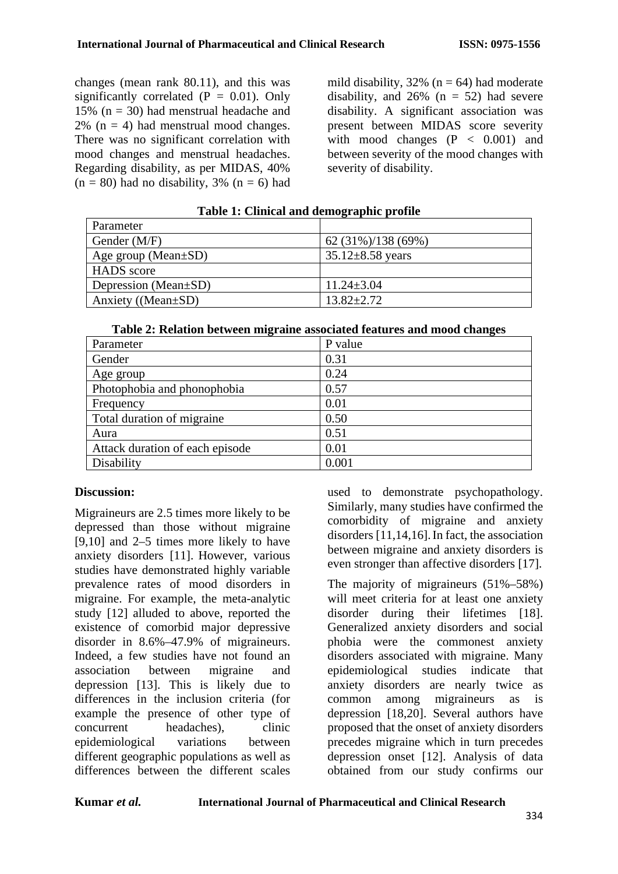changes (mean rank 80.11), and this was significantly correlated  $(P = 0.01)$ . Only 15% ( $n = 30$ ) had menstrual headache and  $2\%$  (n = 4) had menstrual mood changes. There was no significant correlation with mood changes and menstrual headaches. Regarding disability, as per MIDAS, 40%  $(n = 80)$  had no disability, 3%  $(n = 6)$  had mild disability,  $32\%$  (n = 64) had moderate disability, and  $26\%$  (n = 52) had severe disability. A significant association was present between MIDAS score severity with mood changes  $(P < 0.001)$  and between severity of the mood changes with severity of disability.

| Parameter                 |                        |
|---------------------------|------------------------|
| Gender (M/F)              | $62(31\%)/138(69\%)$   |
| Age group (Mean $\pm$ SD) | $35.12 \pm 8.58$ years |
| <b>HADS</b> score         |                        |
| Depression (Mean±SD)      | $11.24 \pm 3.04$       |
| Anxiety ((Mean $\pm SD$ ) | $13.82 \pm 2.72$       |

# **Table 1: Clinical and demographic profile**

| Table 2: Relation between migraine associated features and mood changes |  |  |
|-------------------------------------------------------------------------|--|--|
|                                                                         |  |  |

| Parameter                       | P value |
|---------------------------------|---------|
| Gender                          | 0.31    |
| Age group                       | 0.24    |
| Photophobia and phonophobia     | 0.57    |
| Frequency                       | 0.01    |
| Total duration of migraine      | 0.50    |
| Aura                            | 0.51    |
| Attack duration of each episode | 0.01    |
| Disability                      | 0.001   |

# **Discussion:**

Migraineurs are 2.5 times more likely to be depressed than those without migraine [9,10] and 2–5 times more likely to have anxiety disorders [11]. However, various studies have demonstrated highly variable prevalence rates of mood disorders in migraine. For example, the meta-analytic study [12] alluded to above, reported the existence of comorbid major depressive disorder in 8.6%–47.9% of migraineurs. Indeed, a few studies have not found an association between migraine and depression [13]. This is likely due to differences in the inclusion criteria (for example the presence of other type of concurrent headaches), clinic epidemiological variations between different geographic populations as well as differences between the different scales

used to demonstrate psychopathology. Similarly, many studies have confirmed the comorbidity of migraine and anxiety disorders [11,14,16].In fact, the association between migraine and anxiety disorders is even stronger than affective disorders [17].

The majority of migraineurs (51%–58%) will meet criteria for at least one anxiety disorder during their lifetimes [18]. Generalized anxiety disorders and social phobia were the commonest anxiety disorders associated with migraine. Many epidemiological studies indicate that anxiety disorders are nearly twice as common among migraineurs as is depression [18,20]. Several authors have proposed that the onset of anxiety disorders precedes migraine which in turn precedes depression onset [12]. Analysis of data obtained from our study confirms our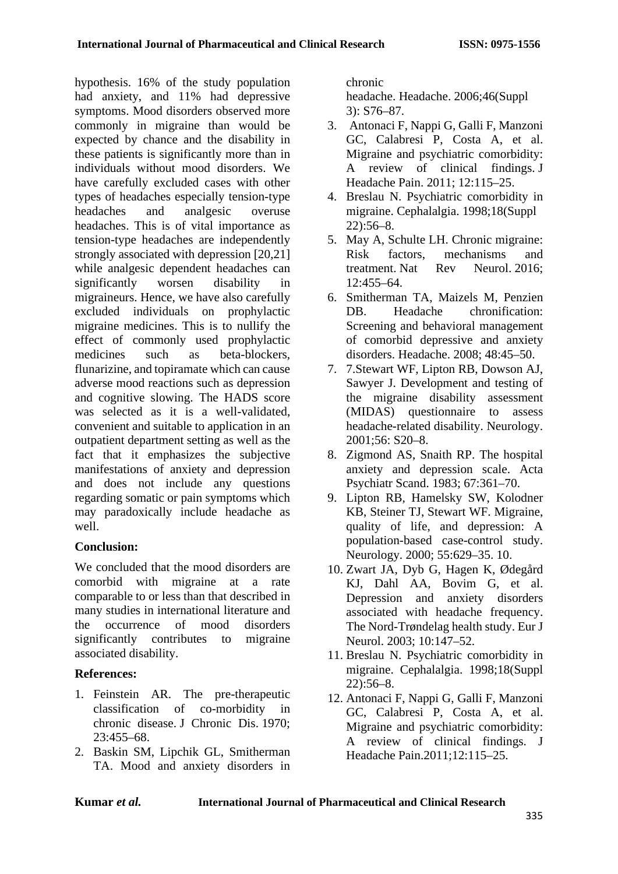hypothesis. 16% of the study population had anxiety, and 11% had depressive symptoms. Mood disorders observed more commonly in migraine than would be expected by chance and the disability in these patients is significantly more than in individuals without mood disorders. We have carefully excluded cases with other types of headaches especially tension-type headaches and analgesic overuse headaches. This is of vital importance as tension-type headaches are independently strongly associated with depression [20,21] while analgesic dependent headaches can significantly worsen disability in migraineurs. Hence, we have also carefully excluded individuals on prophylactic migraine medicines. This is to nullify the effect of commonly used prophylactic medicines such as beta-blockers, flunarizine, and topiramate which can cause adverse mood reactions such as depression and cognitive slowing. The HADS score was selected as it is a well-validated, convenient and suitable to application in an outpatient department setting as well as the fact that it emphasizes the subjective manifestations of anxiety and depression and does not include any questions regarding somatic or pain symptoms which may paradoxically include headache as well.

# **Conclusion:**

We concluded that the mood disorders are comorbid with migraine at a rate comparable to or less than that described in many studies in international literature and the occurrence of mood disorders significantly contributes to migraine associated disability.

# **References:**

- 1. Feinstein AR. The pre-therapeutic classification of co-morbidity in chronic disease. J Chronic Dis. 1970; 23:455–68.
- 2. Baskin SM, Lipchik GL, Smitherman TA. Mood and anxiety disorders in

chronic

headache. Headache. 2006;46(Suppl 3): S76–87.

- 3. Antonaci F, Nappi G, Galli F, Manzoni GC, Calabresi P, Costa A, et al. Migraine and psychiatric comorbidity: A review of clinical findings. J Headache Pain. 2011; 12:115–25.
- 4. Breslau N. Psychiatric comorbidity in migraine. Cephalalgia. 1998;18(Suppl 22):56–8.
- 5. May A, Schulte LH. Chronic migraine: Risk factors, mechanisms and treatment. Nat Rev Neurol. 2016; 12:455–64.
- 6. Smitherman TA, Maizels M, Penzien DB. Headache chronification: Screening and behavioral management of comorbid depressive and anxiety disorders. Headache. 2008; 48:45–50.
- 7. 7.Stewart WF, Lipton RB, Dowson AJ, Sawyer J. Development and testing of the migraine disability assessment (MIDAS) questionnaire to assess headache-related disability. Neurology. 2001;56: S20–8.
- 8. Zigmond AS, Snaith RP. The hospital anxiety and depression scale. Acta Psychiatr Scand. 1983; 67:361–70.
- 9. Lipton RB, Hamelsky SW, Kolodner KB, Steiner TJ, Stewart WF. Migraine, quality of life, and depression: A population-based case-control study. Neurology. 2000; 55:629–35. 10.
- 10. Zwart JA, Dyb G, Hagen K, Ødegård KJ, Dahl AA, Bovim G, et al. Depression and anxiety disorders associated with headache frequency. The Nord-Trøndelag health study. Eur J Neurol. 2003; 10:147–52.
- 11. Breslau N. Psychiatric comorbidity in migraine. Cephalalgia. 1998;18(Suppl 22):56–8.
- 12. Antonaci F, Nappi G, Galli F, Manzoni GC, Calabresi P, Costa A, et al. Migraine and psychiatric comorbidity: A review of clinical findings. J Headache Pain.2011;12:115–25.